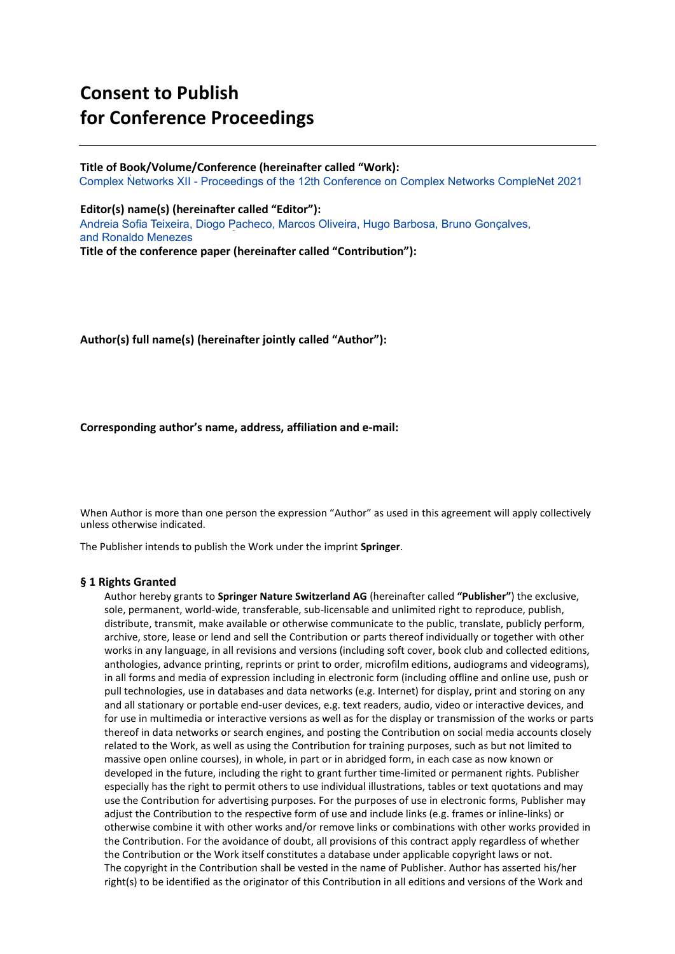# **Consent to Publish for Conference Proceedings**

**Title of Book/Volume/Conference (hereinafter called "Work): of the 10th Conference of Complex Networks CompleNet 2019**

**Editor(s) name(s) (hereinafter called "Editor"): Gomez-Gardenes, Bruno Gonçalves** Andreia Sofia Teixeira, Diogo Pacheco, Marcos Oliveira, Hugo Barbosa, Bruno Gonçalves, **Title of the conference paper (hereinafter called "Contribution"):**  Complex Networks XII - Proceedings of the 12th Conference on Complex Networks CompleNet 2021<br>**Editor(s) name(s) (hereinafter called "Editor"):**<br>Andreia Sofia Teixeira, Diogo Pacheco, Marcos Oliveira, Hugo Barbosa, Bruno Go

**Author(s) full name(s) (hereinafter jointly called "Author"):** 

**Corresponding author's name, address, affiliation and e-mail:** 

When Author is more than one person the expression "Author" as used in this agreement will apply collectively unless otherwise indicated.

The Publisher intends to publish the Work under the imprint **Springer**.

#### **§ 1 Rights Granted**

Author hereby grants to **Springer Nature Switzerland AG** (hereinafter called **"Publisher"**) the exclusive, sole, permanent, world-wide, transferable, sub-licensable and unlimited right to reproduce, publish, distribute, transmit, make available or otherwise communicate to the public, translate, publicly perform, archive, store, lease or lend and sell the Contribution or parts thereof individually or together with other works in any language, in all revisions and versions (including soft cover, book club and collected editions, anthologies, advance printing, reprints or print to order, microfilm editions, audiograms and videograms), in all forms and media of expression including in electronic form (including offline and online use, push or pull technologies, use in databases and data networks (e.g. Internet) for display, print and storing on any and all stationary or portable end-user devices, e.g. text readers, audio, video or interactive devices, and for use in multimedia or interactive versions as well as for the display or transmission of the works or parts thereof in data networks or search engines, and posting the Contribution on social media accounts closely related to the Work, as well as using the Contribution for training purposes, such as but not limited to massive open online courses), in whole, in part or in abridged form, in each case as now known or developed in the future, including the right to grant further time-limited or permanent rights. Publisher especially has the right to permit others to use individual illustrations, tables or text quotations and may use the Contribution for advertising purposes. For the purposes of use in electronic forms, Publisher may adjust the Contribution to the respective form of use and include links (e.g. frames or inline-links) or otherwise combine it with other works and/or remove links or combinations with other works provided in the Contribution. For the avoidance of doubt, all provisions of this contract apply regardless of whether the Contribution or the Work itself constitutes a database under applicable copyright laws or not. The copyright in the Contribution shall be vested in the name of Publisher. Author has asserted his/her right(s) to be identified as the originator of this Contribution in all editions and versions of the Work and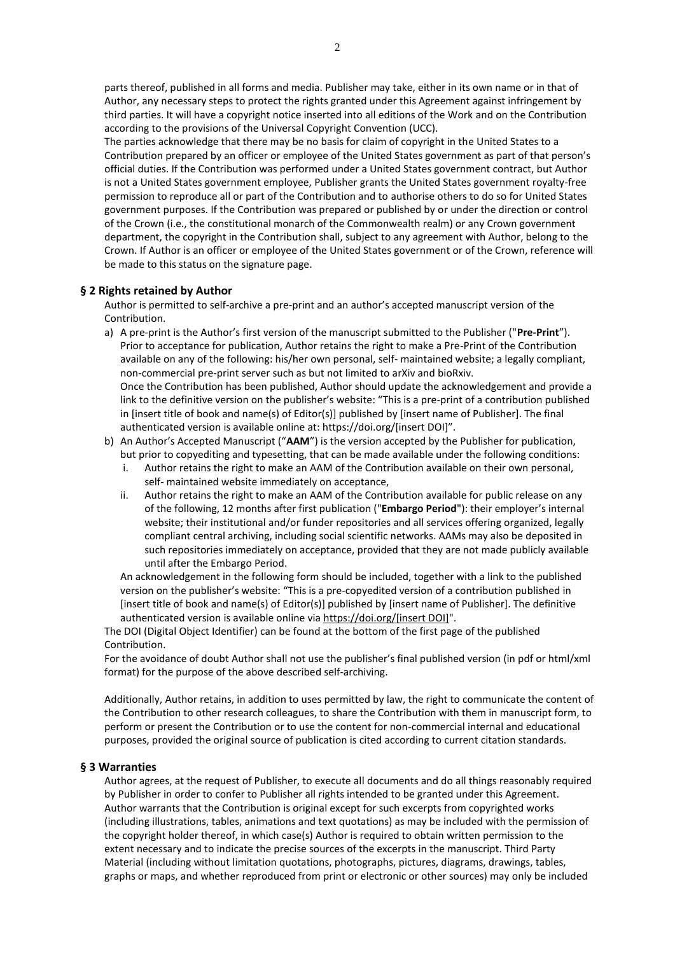parts thereof, published in all forms and media. Publisher may take, either in its own name or in that of Author, any necessary steps to protect the rights granted under this Agreement against infringement by third parties. It will have a copyright notice inserted into all editions of the Work and on the Contribution according to the provisions of the Universal Copyright Convention (UCC).

The parties acknowledge that there may be no basis for claim of copyright in the United States to a Contribution prepared by an officer or employee of the United States government as part of that person's official duties. If the Contribution was performed under a United States government contract, but Author is not a United States government employee, Publisher grants the United States government royalty-free permission to reproduce all or part of the Contribution and to authorise others to do so for United States government purposes. If the Contribution was prepared or published by or under the direction or control of the Crown (i.e., the constitutional monarch of the Commonwealth realm) or any Crown government department, the copyright in the Contribution shall, subject to any agreement with Author, belong to the Crown. If Author is an officer or employee of the United States government or of the Crown, reference will be made to this status on the signature page.

# **§ 2 Rights retained by Author**

Author is permitted to self-archive a pre-print and an author's accepted manuscript version of the Contribution.

a) A pre-print is the Author's first version of the manuscript submitted to the Publisher ("**Pre-Print**"). Prior to acceptance for publication, Author retains the right to make a Pre-Print of the Contribution available on any of the following: his/her own personal, self- maintained website; a legally compliant, non-commercial pre-print server such as but not limited to arXiv and bioRxiv. Once the Contribution has been published, Author should update the acknowledgement and provide a link to the definitive version on the publisher's website: "This is a pre-print of a contribution published

in [insert title of book and name(s) of Editor(s)] published by [insert name of Publisher]. The final authenticated version is available online at: https://doi.org/[insert DOI]". b) An Author's Accepted Manuscript ("**AAM**") is the version accepted by the Publisher for publication,

- but prior to copyediting and typesetting, that can be made available under the following conditions:
	- i. Author retains the right to make an AAM of the Contribution available on their own personal, self- maintained website immediately on acceptance,
	- ii. Author retains the right to make an AAM of the Contribution available for public release on any of the following, 12 months after first publication ("**Embargo Period**"): their employer's internal website; their institutional and/or funder repositories and all services offering organized, legally compliant central archiving, including social scientific networks. AAMs may also be deposited in such repositories immediately on acceptance, provided that they are not made publicly available until after the Embargo Period.

An acknowledgement in the following form should be included, together with a link to the published version on the publisher's website: "This is a pre-copyedited version of a contribution published in [insert title of book and name(s) of Editor(s)] published by [insert name of Publisher]. The definitive authenticated version is available online via https://doi.org/[insert DOI]".

The DOI (Digital Object Identifier) can be found at the bottom of the first page of the published Contribution.

For the avoidance of doubt Author shall not use the publisher's final published version (in pdf or html/xml format) for the purpose of the above described self-archiving.

Additionally, Author retains, in addition to uses permitted by law, the right to communicate the content of the Contribution to other research colleagues, to share the Contribution with them in manuscript form, to perform or present the Contribution or to use the content for non-commercial internal and educational purposes, provided the original source of publication is cited according to current citation standards.

## **§ 3 Warranties**

Author agrees, at the request of Publisher, to execute all documents and do all things reasonably required by Publisher in order to confer to Publisher all rights intended to be granted under this Agreement. Author warrants that the Contribution is original except for such excerpts from copyrighted works (including illustrations, tables, animations and text quotations) as may be included with the permission of the copyright holder thereof, in which case(s) Author is required to obtain written permission to the extent necessary and to indicate the precise sources of the excerpts in the manuscript. Third Party Material (including without limitation quotations, photographs, pictures, diagrams, drawings, tables, graphs or maps, and whether reproduced from print or electronic or other sources) may only be included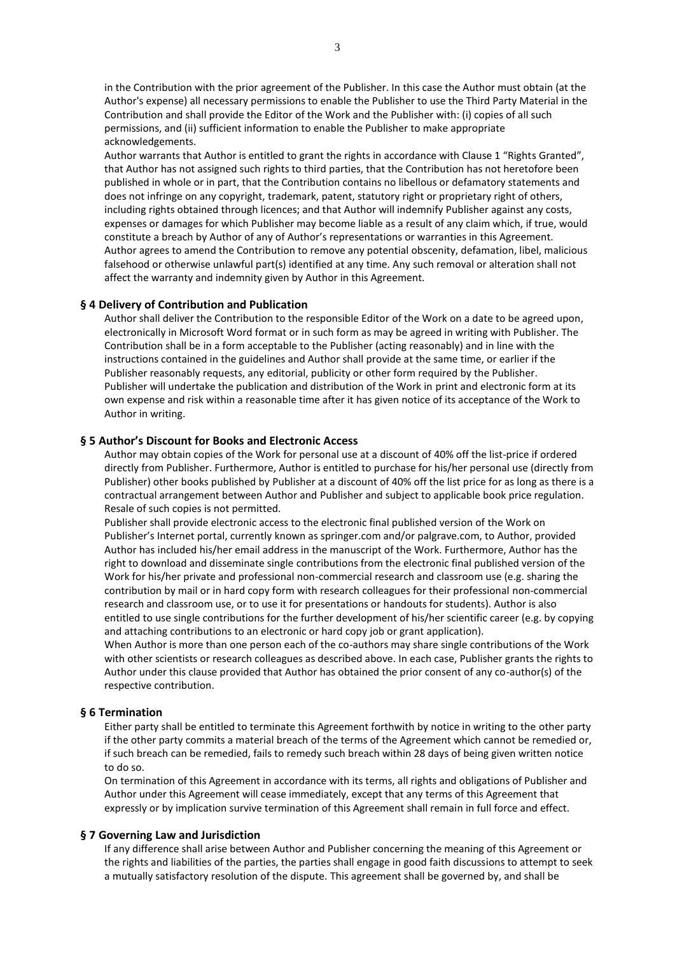in the Contribution with the prior agreement of the Publisher. In this case the Author must obtain (at the Author's expense) all necessary permissions to enable the Publisher to use the Third Party Material in the Contribution and shall provide the Editor of the Work and the Publisher with: (i) copies of all such permissions, and (ii) sufficient information to enable the Publisher to make appropriate acknowledgements.

Author warrants that Author is entitled to grant the rights in accordance with Clause 1 "Rights Granted", that Author has not assigned such rights to third parties, that the Contribution has not heretofore been published in whole or in part, that the Contribution contains no libellous or defamatory statements and does not infringe on any copyright, trademark, patent, statutory right or proprietary right of others, including rights obtained through licences; and that Author will indemnify Publisher against any costs, expenses or damages for which Publisher may become liable as a result of any claim which, if true, would constitute a breach by Author of any of Author's representations or warranties in this Agreement. Author agrees to amend the Contribution to remove any potential obscenity, defamation, libel, malicious falsehood or otherwise unlawful part(s) identified at any time. Any such removal or alteration shall not affect the warranty and indemnity given by Author in this Agreement.

#### **§ 4 Delivery of Contribution and Publication**

Author shall deliver the Contribution to the responsible Editor of the Work on a date to be agreed upon, electronically in Microsoft Word format or in such form as may be agreed in writing with Publisher. The Contribution shall be in a form acceptable to the Publisher (acting reasonably) and in line with the instructions contained in the guidelines and Author shall provide at the same time, or earlier if the Publisher reasonably requests, any editorial, publicity or other form required by the Publisher. Publisher will undertake the publication and distribution of the Work in print and electronic form at its own expense and risk within a reasonable time after it has given notice of its acceptance of the Work to Author in writing.

## **§ 5 Author's Discount for Books and Electronic Access**

Author may obtain copies of the Work for personal use at a discount of 40% off the list-price if ordered directly from Publisher. Furthermore, Author is entitled to purchase for his/her personal use (directly from Publisher) other books published by Publisher at a discount of 40% off the list price for as long as there is a contractual arrangement between Author and Publisher and subject to applicable book price regulation. Resale of such copies is not permitted.

Publisher shall provide electronic access to the electronic final published version of the Work on Publisher's Internet portal, currently known as springer.com and/or palgrave.com, to Author, provided Author has included his/her email address in the manuscript of the Work. Furthermore, Author has the right to download and disseminate single contributions from the electronic final published version of the Work for his/her private and professional non-commercial research and classroom use (e.g. sharing the contribution by mail or in hard copy form with research colleagues for their professional non-commercial research and classroom use, or to use it for presentations or handouts for students). Author is also entitled to use single contributions for the further development of his/her scientific career (e.g. by copying and attaching contributions to an electronic or hard copy job or grant application).

When Author is more than one person each of the co-authors may share single contributions of the Work with other scientists or research colleagues as described above. In each case, Publisher grants the rights to Author under this clause provided that Author has obtained the prior consent of any co-author(s) of the respective contribution.

### **§ 6 Termination**

Either party shall be entitled to terminate this Agreement forthwith by notice in writing to the other party if the other party commits a material breach of the terms of the Agreement which cannot be remedied or, if such breach can be remedied, fails to remedy such breach within 28 days of being given written notice to do so.

On termination of this Agreement in accordance with its terms, all rights and obligations of Publisher and Author under this Agreement will cease immediately, except that any terms of this Agreement that expressly or by implication survive termination of this Agreement shall remain in full force and effect.

#### **§ 7 Governing Law and Jurisdiction**

If any difference shall arise between Author and Publisher concerning the meaning of this Agreement or the rights and liabilities of the parties, the parties shall engage in good faith discussions to attempt to seek a mutually satisfactory resolution of the dispute. This agreement shall be governed by, and shall be